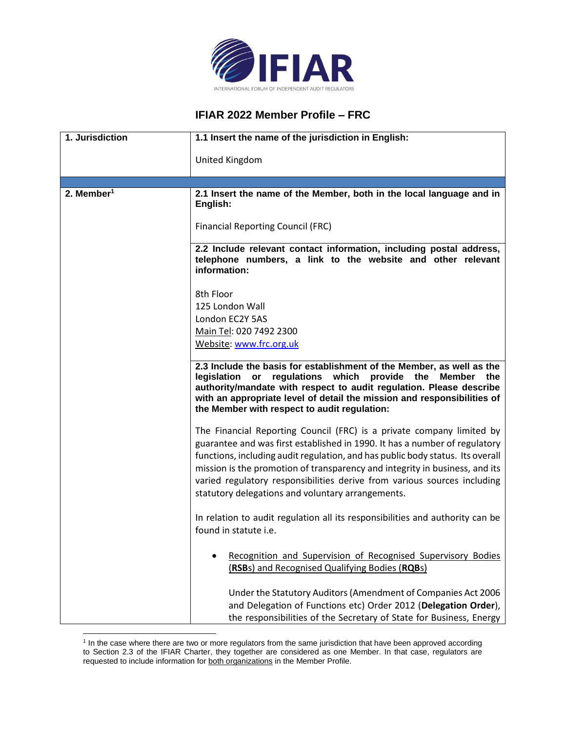

## **IFIAR 2022 Member Profile – FRC**

| 1. Jurisdiction        | 1.1 Insert the name of the jurisdiction in English:                                                                                                                                                                                                                                                                                                                                                                                                   |
|------------------------|-------------------------------------------------------------------------------------------------------------------------------------------------------------------------------------------------------------------------------------------------------------------------------------------------------------------------------------------------------------------------------------------------------------------------------------------------------|
|                        | United Kingdom                                                                                                                                                                                                                                                                                                                                                                                                                                        |
|                        |                                                                                                                                                                                                                                                                                                                                                                                                                                                       |
| 2. Member <sup>1</sup> | 2.1 Insert the name of the Member, both in the local language and in<br>English:                                                                                                                                                                                                                                                                                                                                                                      |
|                        | <b>Financial Reporting Council (FRC)</b>                                                                                                                                                                                                                                                                                                                                                                                                              |
|                        | 2.2 Include relevant contact information, including postal address,<br>telephone numbers, a link to the website and other relevant<br>information:                                                                                                                                                                                                                                                                                                    |
|                        | 8th Floor                                                                                                                                                                                                                                                                                                                                                                                                                                             |
|                        | 125 London Wall                                                                                                                                                                                                                                                                                                                                                                                                                                       |
|                        | London EC2Y 5AS                                                                                                                                                                                                                                                                                                                                                                                                                                       |
|                        | Main Tel: 020 7492 2300                                                                                                                                                                                                                                                                                                                                                                                                                               |
|                        | Website: www.frc.org.uk                                                                                                                                                                                                                                                                                                                                                                                                                               |
|                        | 2.3 Include the basis for establishment of the Member, as well as the<br>regulations which<br>provide the<br>legislation or<br><b>Member</b><br>the<br>authority/mandate with respect to audit regulation. Please describe<br>with an appropriate level of detail the mission and responsibilities of<br>the Member with respect to audit regulation:                                                                                                 |
|                        | The Financial Reporting Council (FRC) is a private company limited by<br>guarantee and was first established in 1990. It has a number of regulatory<br>functions, including audit regulation, and has public body status. Its overall<br>mission is the promotion of transparency and integrity in business, and its<br>varied regulatory responsibilities derive from various sources including<br>statutory delegations and voluntary arrangements. |
|                        | In relation to audit regulation all its responsibilities and authority can be<br>found in statute i.e.                                                                                                                                                                                                                                                                                                                                                |
|                        | Recognition and Supervision of Recognised Supervisory Bodies<br>(RSBs) and Recognised Qualifying Bodies (RQBs)                                                                                                                                                                                                                                                                                                                                        |
|                        | Under the Statutory Auditors (Amendment of Companies Act 2006<br>and Delegation of Functions etc) Order 2012 (Delegation Order),<br>the responsibilities of the Secretary of State for Business, Energy                                                                                                                                                                                                                                               |

<sup>&</sup>lt;sup>1</sup> In the case where there are two or more regulators from the same jurisdiction that have been approved according to Section 2.3 of the IFIAR Charter, they together are considered as one Member. In that case, regulators are requested to include information for both organizations in the Member Profile.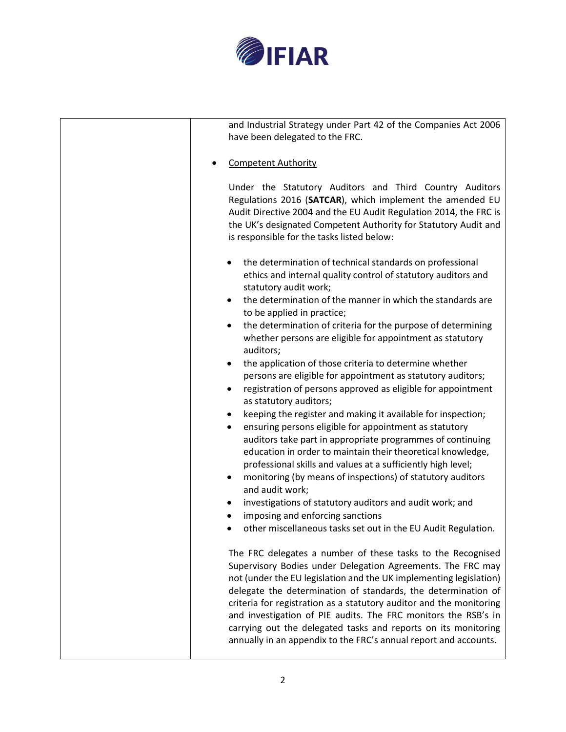

| and Industrial Strategy under Part 42 of the Companies Act 2006<br>have been delegated to the FRC.                                                                                                                                                                                                                                                                                                                                                                                                                                               |
|--------------------------------------------------------------------------------------------------------------------------------------------------------------------------------------------------------------------------------------------------------------------------------------------------------------------------------------------------------------------------------------------------------------------------------------------------------------------------------------------------------------------------------------------------|
| <b>Competent Authority</b>                                                                                                                                                                                                                                                                                                                                                                                                                                                                                                                       |
| Under the Statutory Auditors and Third Country Auditors<br>Regulations 2016 (SATCAR), which implement the amended EU<br>Audit Directive 2004 and the EU Audit Regulation 2014, the FRC is<br>the UK's designated Competent Authority for Statutory Audit and<br>is responsible for the tasks listed below:                                                                                                                                                                                                                                       |
| the determination of technical standards on professional<br>ethics and internal quality control of statutory auditors and<br>statutory audit work;                                                                                                                                                                                                                                                                                                                                                                                               |
| the determination of the manner in which the standards are<br>to be applied in practice;                                                                                                                                                                                                                                                                                                                                                                                                                                                         |
| the determination of criteria for the purpose of determining<br>$\bullet$<br>whether persons are eligible for appointment as statutory<br>auditors;                                                                                                                                                                                                                                                                                                                                                                                              |
| the application of those criteria to determine whether<br>٠<br>persons are eligible for appointment as statutory auditors;<br>registration of persons approved as eligible for appointment<br>as statutory auditors;                                                                                                                                                                                                                                                                                                                             |
| keeping the register and making it available for inspection;<br>٠<br>ensuring persons eligible for appointment as statutory<br>$\bullet$<br>auditors take part in appropriate programmes of continuing<br>education in order to maintain their theoretical knowledge,<br>professional skills and values at a sufficiently high level;<br>monitoring (by means of inspections) of statutory auditors<br>٠<br>and audit work;                                                                                                                      |
| investigations of statutory auditors and audit work; and<br>imposing and enforcing sanctions<br>other miscellaneous tasks set out in the EU Audit Regulation.                                                                                                                                                                                                                                                                                                                                                                                    |
| The FRC delegates a number of these tasks to the Recognised<br>Supervisory Bodies under Delegation Agreements. The FRC may<br>not (under the EU legislation and the UK implementing legislation)<br>delegate the determination of standards, the determination of<br>criteria for registration as a statutory auditor and the monitoring<br>and investigation of PIE audits. The FRC monitors the RSB's in<br>carrying out the delegated tasks and reports on its monitoring<br>annually in an appendix to the FRC's annual report and accounts. |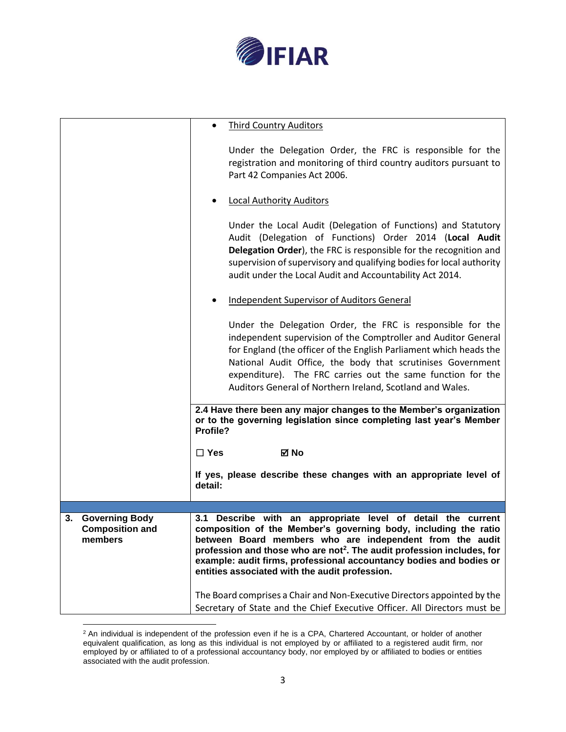

|                                                                  | <b>Third Country Auditors</b>                                                                                                                                                                                                                                                                                                                                                                                 |
|------------------------------------------------------------------|---------------------------------------------------------------------------------------------------------------------------------------------------------------------------------------------------------------------------------------------------------------------------------------------------------------------------------------------------------------------------------------------------------------|
|                                                                  | Under the Delegation Order, the FRC is responsible for the<br>registration and monitoring of third country auditors pursuant to<br>Part 42 Companies Act 2006.                                                                                                                                                                                                                                                |
|                                                                  | <b>Local Authority Auditors</b>                                                                                                                                                                                                                                                                                                                                                                               |
|                                                                  | Under the Local Audit (Delegation of Functions) and Statutory<br>Audit (Delegation of Functions) Order 2014 (Local Audit<br>Delegation Order), the FRC is responsible for the recognition and<br>supervision of supervisory and qualifying bodies for local authority<br>audit under the Local Audit and Accountability Act 2014.                                                                             |
|                                                                  | <b>Independent Supervisor of Auditors General</b>                                                                                                                                                                                                                                                                                                                                                             |
|                                                                  | Under the Delegation Order, the FRC is responsible for the<br>independent supervision of the Comptroller and Auditor General<br>for England (the officer of the English Parliament which heads the<br>National Audit Office, the body that scrutinises Government<br>expenditure). The FRC carries out the same function for the<br>Auditors General of Northern Ireland, Scotland and Wales.                 |
|                                                                  | 2.4 Have there been any major changes to the Member's organization<br>or to the governing legislation since completing last year's Member<br>Profile?                                                                                                                                                                                                                                                         |
|                                                                  | $\Box$ Yes<br>⊠ No                                                                                                                                                                                                                                                                                                                                                                                            |
|                                                                  | If yes, please describe these changes with an appropriate level of<br>detail:                                                                                                                                                                                                                                                                                                                                 |
|                                                                  |                                                                                                                                                                                                                                                                                                                                                                                                               |
| <b>Governing Body</b><br>3.<br><b>Composition and</b><br>members | Describe with an appropriate level of detail the current<br>3.1<br>composition of the Member's governing body, including the ratio<br>between Board members who are independent from the audit<br>profession and those who are not <sup>2</sup> . The audit profession includes, for<br>example: audit firms, professional accountancy bodies and bodies or<br>entities associated with the audit profession. |
|                                                                  | The Board comprises a Chair and Non-Executive Directors appointed by the<br>Secretary of State and the Chief Executive Officer. All Directors must be                                                                                                                                                                                                                                                         |

 $2$  An individual is independent of the profession even if he is a CPA, Chartered Accountant, or holder of another equivalent qualification, as long as this individual is not employed by or affiliated to a registered audit firm, nor employed by or affiliated to of a professional accountancy body, nor employed by or affiliated to bodies or entities associated with the audit profession.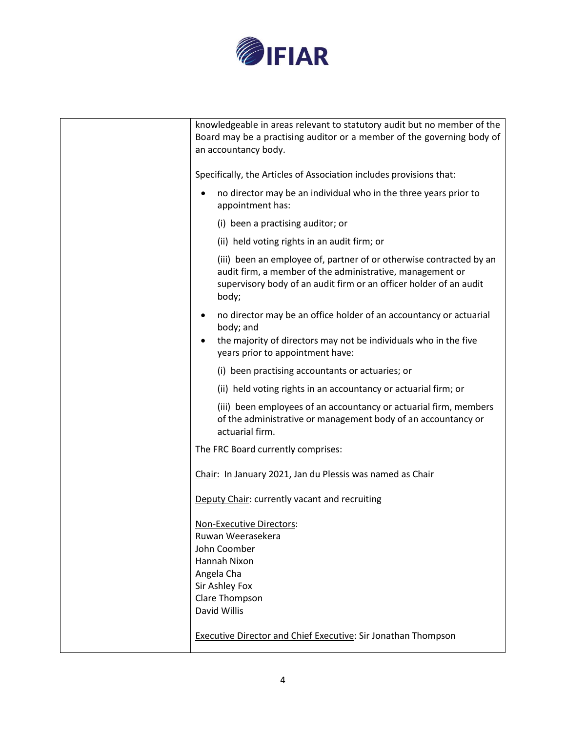

| knowledgeable in areas relevant to statutory audit but no member of the<br>Board may be a practising auditor or a member of the governing body of<br>an accountancy body.                                       |
|-----------------------------------------------------------------------------------------------------------------------------------------------------------------------------------------------------------------|
| Specifically, the Articles of Association includes provisions that:                                                                                                                                             |
| no director may be an individual who in the three years prior to<br>appointment has:                                                                                                                            |
| (i) been a practising auditor; or                                                                                                                                                                               |
| (ii) held voting rights in an audit firm; or                                                                                                                                                                    |
| (iii) been an employee of, partner of or otherwise contracted by an<br>audit firm, a member of the administrative, management or<br>supervisory body of an audit firm or an officer holder of an audit<br>body; |
| no director may be an office holder of an accountancy or actuarial<br>body; and<br>the majority of directors may not be individuals who in the five<br>years prior to appointment have:                         |
| (i) been practising accountants or actuaries; or                                                                                                                                                                |
| (ii) held voting rights in an accountancy or actuarial firm; or                                                                                                                                                 |
| (iii) been employees of an accountancy or actuarial firm, members<br>of the administrative or management body of an accountancy or<br>actuarial firm.                                                           |
| The FRC Board currently comprises:                                                                                                                                                                              |
| Chair: In January 2021, Jan du Plessis was named as Chair                                                                                                                                                       |
| Deputy Chair: currently vacant and recruiting                                                                                                                                                                   |
| Non-Executive Directors:<br>Ruwan Weerasekera<br>John Coomber<br>Hannah Nixon<br>Angela Cha<br>Sir Ashley Fox<br>Clare Thompson<br>David Willis                                                                 |
| <b>Executive Director and Chief Executive: Sir Jonathan Thompson</b>                                                                                                                                            |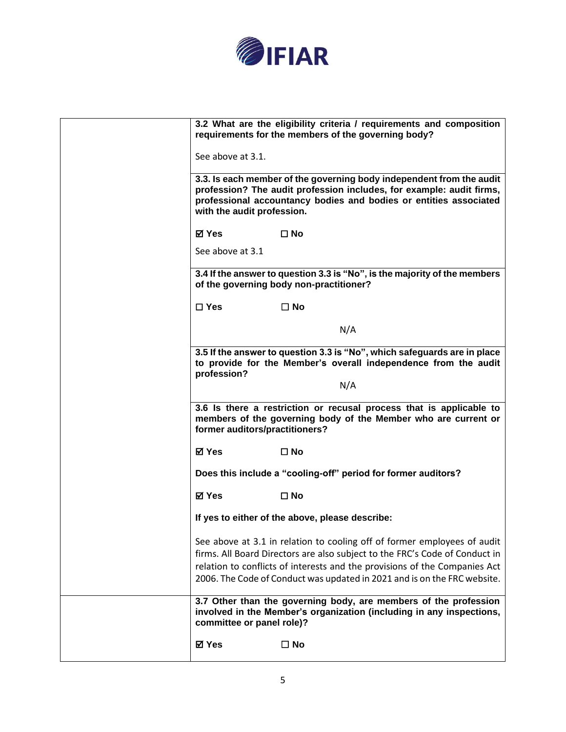

| 3.2 What are the eligibility criteria / requirements and composition<br>requirements for the members of the governing body?                                                                                                                                                                                       |
|-------------------------------------------------------------------------------------------------------------------------------------------------------------------------------------------------------------------------------------------------------------------------------------------------------------------|
| See above at 3.1.                                                                                                                                                                                                                                                                                                 |
| 3.3. Is each member of the governing body independent from the audit<br>profession? The audit profession includes, for example: audit firms,<br>professional accountancy bodies and bodies or entities associated<br>with the audit profession.                                                                   |
| ⊠ Yes<br>$\square$ No                                                                                                                                                                                                                                                                                             |
| See above at 3.1                                                                                                                                                                                                                                                                                                  |
| 3.4 If the answer to question 3.3 is "No", is the majority of the members<br>of the governing body non-practitioner?                                                                                                                                                                                              |
| $\Box$ Yes<br>$\Box$ No                                                                                                                                                                                                                                                                                           |
| N/A                                                                                                                                                                                                                                                                                                               |
| 3.5 If the answer to question 3.3 is "No", which safeguards are in place<br>to provide for the Member's overall independence from the audit<br>profession?                                                                                                                                                        |
| N/A                                                                                                                                                                                                                                                                                                               |
| 3.6 Is there a restriction or recusal process that is applicable to<br>members of the governing body of the Member who are current or<br>former auditors/practitioners?                                                                                                                                           |
| ⊠ Yes<br>$\square$ No                                                                                                                                                                                                                                                                                             |
| Does this include a "cooling-off" period for former auditors?                                                                                                                                                                                                                                                     |
| ⊠ Yes<br>$\square$ No                                                                                                                                                                                                                                                                                             |
| If yes to either of the above, please describe:                                                                                                                                                                                                                                                                   |
| See above at 3.1 in relation to cooling off of former employees of audit<br>firms. All Board Directors are also subject to the FRC's Code of Conduct in<br>relation to conflicts of interests and the provisions of the Companies Act<br>2006. The Code of Conduct was updated in 2021 and is on the FRC website. |
| 3.7 Other than the governing body, are members of the profession<br>involved in the Member's organization (including in any inspections,<br>committee or panel role)?                                                                                                                                             |
| ⊠ Yes<br>$\Box$ No                                                                                                                                                                                                                                                                                                |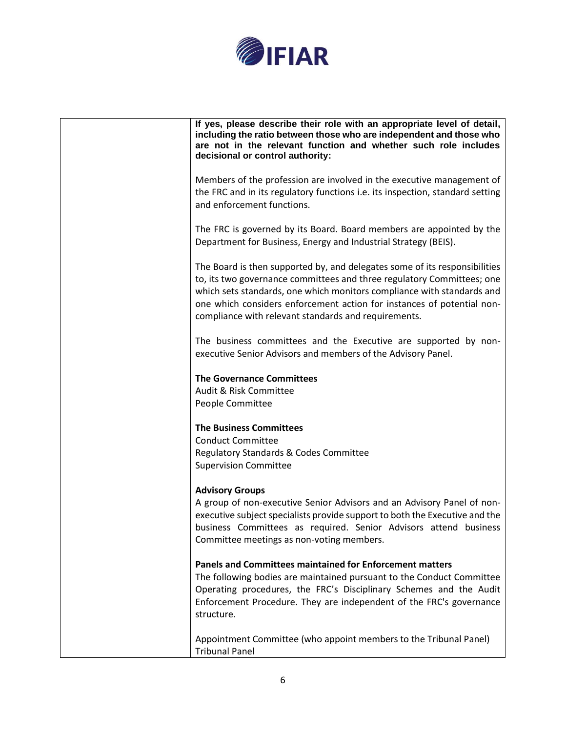

| If yes, please describe their role with an appropriate level of detail,<br>including the ratio between those who are independent and those who<br>are not in the relevant function and whether such role includes<br>decisional or control authority:                                                                                                            |
|------------------------------------------------------------------------------------------------------------------------------------------------------------------------------------------------------------------------------------------------------------------------------------------------------------------------------------------------------------------|
| Members of the profession are involved in the executive management of<br>the FRC and in its regulatory functions i.e. its inspection, standard setting<br>and enforcement functions.                                                                                                                                                                             |
| The FRC is governed by its Board. Board members are appointed by the<br>Department for Business, Energy and Industrial Strategy (BEIS).                                                                                                                                                                                                                          |
| The Board is then supported by, and delegates some of its responsibilities<br>to, its two governance committees and three regulatory Committees; one<br>which sets standards, one which monitors compliance with standards and<br>one which considers enforcement action for instances of potential non-<br>compliance with relevant standards and requirements. |
| The business committees and the Executive are supported by non-<br>executive Senior Advisors and members of the Advisory Panel.                                                                                                                                                                                                                                  |
| <b>The Governance Committees</b><br>Audit & Risk Committee<br>People Committee                                                                                                                                                                                                                                                                                   |
| <b>The Business Committees</b><br><b>Conduct Committee</b><br><b>Regulatory Standards &amp; Codes Committee</b><br><b>Supervision Committee</b>                                                                                                                                                                                                                  |
| <b>Advisory Groups</b><br>A group of non-executive Senior Advisors and an Advisory Panel of non-<br>executive subject specialists provide support to both the Executive and the<br>business Committees as required. Senior Advisors attend business<br>Committee meetings as non-voting members.                                                                 |
| <b>Panels and Committees maintained for Enforcement matters</b><br>The following bodies are maintained pursuant to the Conduct Committee<br>Operating procedures, the FRC's Disciplinary Schemes and the Audit<br>Enforcement Procedure. They are independent of the FRC's governance<br>structure.                                                              |
| Appointment Committee (who appoint members to the Tribunal Panel)<br><b>Tribunal Panel</b>                                                                                                                                                                                                                                                                       |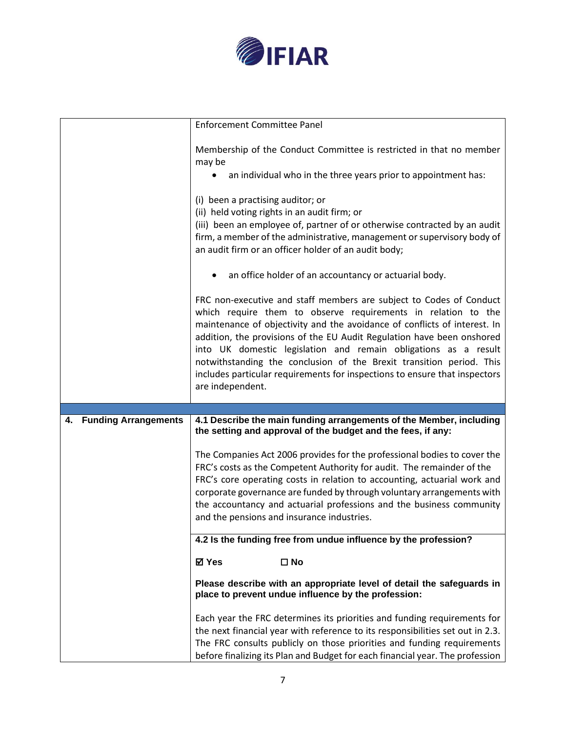

|                                   | <b>Enforcement Committee Panel</b>                                                                                                                                                                                                                                                                                                                                                                                                                                                                                                       |
|-----------------------------------|------------------------------------------------------------------------------------------------------------------------------------------------------------------------------------------------------------------------------------------------------------------------------------------------------------------------------------------------------------------------------------------------------------------------------------------------------------------------------------------------------------------------------------------|
|                                   | Membership of the Conduct Committee is restricted in that no member<br>may be                                                                                                                                                                                                                                                                                                                                                                                                                                                            |
|                                   | an individual who in the three years prior to appointment has:                                                                                                                                                                                                                                                                                                                                                                                                                                                                           |
|                                   | (i) been a practising auditor; or<br>(ii) held voting rights in an audit firm; or<br>(iii) been an employee of, partner of or otherwise contracted by an audit<br>firm, a member of the administrative, management or supervisory body of<br>an audit firm or an officer holder of an audit body;                                                                                                                                                                                                                                        |
|                                   | an office holder of an accountancy or actuarial body.                                                                                                                                                                                                                                                                                                                                                                                                                                                                                    |
|                                   | FRC non-executive and staff members are subject to Codes of Conduct<br>which require them to observe requirements in relation to the<br>maintenance of objectivity and the avoidance of conflicts of interest. In<br>addition, the provisions of the EU Audit Regulation have been onshored<br>into UK domestic legislation and remain obligations as a result<br>notwithstanding the conclusion of the Brexit transition period. This<br>includes particular requirements for inspections to ensure that inspectors<br>are independent. |
|                                   |                                                                                                                                                                                                                                                                                                                                                                                                                                                                                                                                          |
| <b>Funding Arrangements</b><br>4. | 4.1 Describe the main funding arrangements of the Member, including<br>the setting and approval of the budget and the fees, if any:                                                                                                                                                                                                                                                                                                                                                                                                      |
|                                   | The Companies Act 2006 provides for the professional bodies to cover the<br>FRC's costs as the Competent Authority for audit. The remainder of the<br>FRC's core operating costs in relation to accounting, actuarial work and<br>corporate governance are funded by through voluntary arrangements with<br>the accountancy and actuarial professions and the business community<br>and the pensions and insurance industries.                                                                                                           |
|                                   | 4.2 Is the funding free from undue influence by the profession?                                                                                                                                                                                                                                                                                                                                                                                                                                                                          |
|                                   | <b>⊠</b> Yes<br>$\square$ No                                                                                                                                                                                                                                                                                                                                                                                                                                                                                                             |
|                                   | Please describe with an appropriate level of detail the safeguards in<br>place to prevent undue influence by the profession:                                                                                                                                                                                                                                                                                                                                                                                                             |
|                                   | Each year the FRC determines its priorities and funding requirements for<br>the next financial year with reference to its responsibilities set out in 2.3.                                                                                                                                                                                                                                                                                                                                                                               |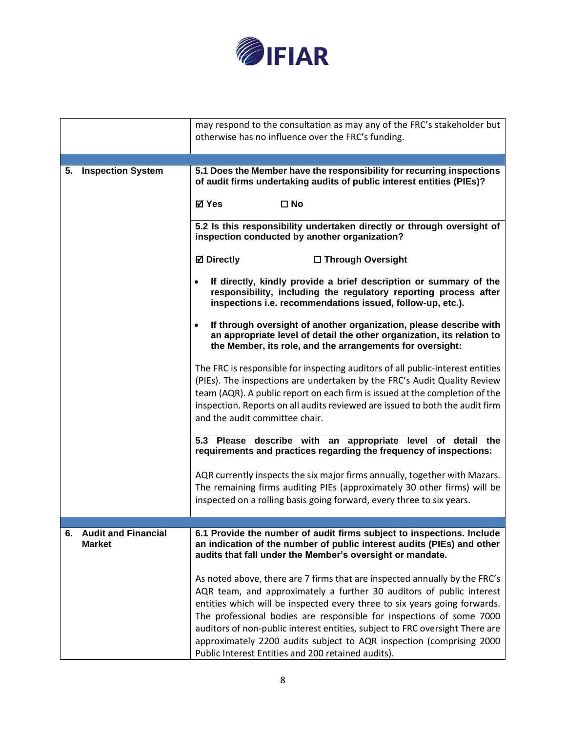

|    |                                             | may respond to the consultation as may any of the FRC's stakeholder but<br>otherwise has no influence over the FRC's funding.                                                                                                                                                                                                                                                                                                                                                                                         |
|----|---------------------------------------------|-----------------------------------------------------------------------------------------------------------------------------------------------------------------------------------------------------------------------------------------------------------------------------------------------------------------------------------------------------------------------------------------------------------------------------------------------------------------------------------------------------------------------|
|    |                                             |                                                                                                                                                                                                                                                                                                                                                                                                                                                                                                                       |
|    | 5. Inspection System                        | 5.1 Does the Member have the responsibility for recurring inspections<br>of audit firms undertaking audits of public interest entities (PIEs)?<br><b>⊠</b> Yes<br>$\square$ No                                                                                                                                                                                                                                                                                                                                        |
|    |                                             |                                                                                                                                                                                                                                                                                                                                                                                                                                                                                                                       |
|    |                                             | 5.2 Is this responsibility undertaken directly or through oversight of<br>inspection conducted by another organization?                                                                                                                                                                                                                                                                                                                                                                                               |
|    |                                             | <b>Ø</b> Directly<br>□ Through Oversight                                                                                                                                                                                                                                                                                                                                                                                                                                                                              |
|    |                                             | If directly, kindly provide a brief description or summary of the<br>responsibility, including the regulatory reporting process after<br>inspections i.e. recommendations issued, follow-up, etc.).                                                                                                                                                                                                                                                                                                                   |
|    |                                             | If through oversight of another organization, please describe with<br>an appropriate level of detail the other organization, its relation to<br>the Member, its role, and the arrangements for oversight:                                                                                                                                                                                                                                                                                                             |
|    |                                             | The FRC is responsible for inspecting auditors of all public-interest entities<br>(PIEs). The inspections are undertaken by the FRC's Audit Quality Review<br>team (AQR). A public report on each firm is issued at the completion of the                                                                                                                                                                                                                                                                             |
|    |                                             | inspection. Reports on all audits reviewed are issued to both the audit firm<br>and the audit committee chair.                                                                                                                                                                                                                                                                                                                                                                                                        |
|    |                                             | 5.3 Please describe with an appropriate level of detail the<br>requirements and practices regarding the frequency of inspections:                                                                                                                                                                                                                                                                                                                                                                                     |
|    |                                             | AQR currently inspects the six major firms annually, together with Mazars.<br>The remaining firms auditing PIEs (approximately 30 other firms) will be                                                                                                                                                                                                                                                                                                                                                                |
|    |                                             | inspected on a rolling basis going forward, every three to six years.                                                                                                                                                                                                                                                                                                                                                                                                                                                 |
|    |                                             |                                                                                                                                                                                                                                                                                                                                                                                                                                                                                                                       |
| 6. | <b>Audit and Financial</b><br><b>Market</b> | 6.1 Provide the number of audit firms subject to inspections. Include<br>an indication of the number of public interest audits (PIEs) and other<br>audits that fall under the Member's oversight or mandate.                                                                                                                                                                                                                                                                                                          |
|    |                                             | As noted above, there are 7 firms that are inspected annually by the FRC's<br>AQR team, and approximately a further 30 auditors of public interest<br>entities which will be inspected every three to six years going forwards.<br>The professional bodies are responsible for inspections of some 7000<br>auditors of non-public interest entities, subject to FRC oversight There are<br>approximately 2200 audits subject to AQR inspection (comprising 2000<br>Public Interest Entities and 200 retained audits). |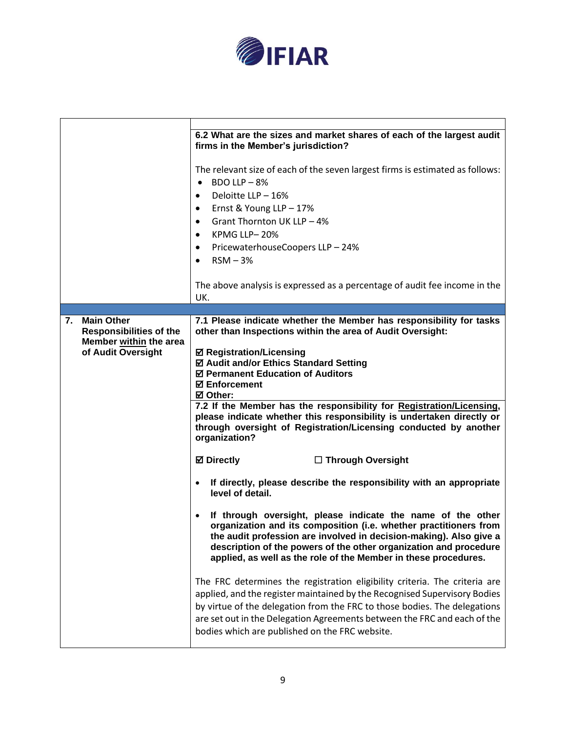

|    |                                                                                                     | 6.2 What are the sizes and market shares of each of the largest audit<br>firms in the Member's jurisdiction?                                                                                                                                                                                                                                                           |
|----|-----------------------------------------------------------------------------------------------------|------------------------------------------------------------------------------------------------------------------------------------------------------------------------------------------------------------------------------------------------------------------------------------------------------------------------------------------------------------------------|
|    |                                                                                                     | The relevant size of each of the seven largest firms is estimated as follows:<br>BDO LLP $-8%$<br>Deloitte LLP - 16%<br>Ernst & Young LLP - 17%<br>٠<br>Grant Thornton UK LLP - 4%<br>$\bullet$<br>KPMG LLP-20%<br>٠<br>PricewaterhouseCoopers LLP - 24%<br>٠<br>$RSM - 3%$<br>$\bullet$<br>The above analysis is expressed as a percentage of audit fee income in the |
|    |                                                                                                     | UK.                                                                                                                                                                                                                                                                                                                                                                    |
|    |                                                                                                     |                                                                                                                                                                                                                                                                                                                                                                        |
| 7. | <b>Main Other</b><br><b>Responsibilities of the</b><br>Member within the area<br>of Audit Oversight | 7.1 Please indicate whether the Member has responsibility for tasks<br>other than Inspections within the area of Audit Oversight:<br><b>Ø Registration/Licensing</b><br>☑ Audit and/or Ethics Standard Setting<br>☑ Permanent Education of Auditors<br><b>☑ Enforcement</b><br><b>Ø</b> Other:                                                                         |
|    |                                                                                                     | 7.2 If the Member has the responsibility for Registration/Licensing,<br>please indicate whether this responsibility is undertaken directly or<br>through oversight of Registration/Licensing conducted by another<br>organization?                                                                                                                                     |
|    |                                                                                                     | <b>Ø</b> Directly<br>□ Through Oversight                                                                                                                                                                                                                                                                                                                               |
|    |                                                                                                     | If directly, please describe the responsibility with an appropriate<br>٠<br>level of detail.                                                                                                                                                                                                                                                                           |
|    |                                                                                                     | If through oversight, please indicate the name of the other<br>organization and its composition (i.e. whether practitioners from<br>the audit profession are involved in decision-making). Also give a<br>description of the powers of the other organization and procedure<br>applied, as well as the role of the Member in these procedures.                         |
|    |                                                                                                     | The FRC determines the registration eligibility criteria. The criteria are<br>applied, and the register maintained by the Recognised Supervisory Bodies<br>by virtue of the delegation from the FRC to those bodies. The delegations<br>are set out in the Delegation Agreements between the FRC and each of the<br>bodies which are published on the FRC website.     |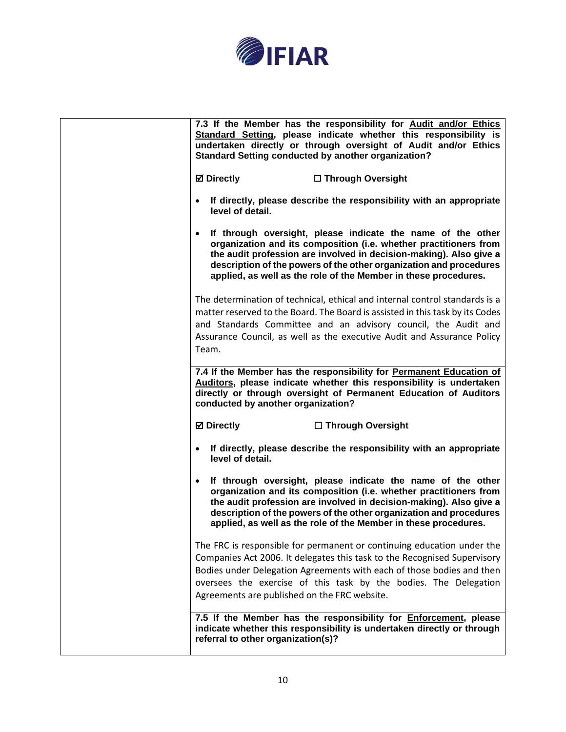

| 7.5 If the Member has the responsibility for <b>Enforcement</b> , please<br>indicate whether this responsibility is undertaken directly or through<br>referral to other organization(s)?                                                                                                                                                                     |
|--------------------------------------------------------------------------------------------------------------------------------------------------------------------------------------------------------------------------------------------------------------------------------------------------------------------------------------------------------------|
| The FRC is responsible for permanent or continuing education under the<br>Companies Act 2006. It delegates this task to the Recognised Supervisory<br>Bodies under Delegation Agreements with each of those bodies and then<br>oversees the exercise of this task by the bodies. The Delegation<br>Agreements are published on the FRC website.              |
| If through oversight, please indicate the name of the other<br>$\bullet$<br>organization and its composition (i.e. whether practitioners from<br>the audit profession are involved in decision-making). Also give a<br>description of the powers of the other organization and procedures<br>applied, as well as the role of the Member in these procedures. |
| <b>Ø</b> Directly<br>□ Through Oversight<br>If directly, please describe the responsibility with an appropriate<br>level of detail.                                                                                                                                                                                                                          |
| 7.4 If the Member has the responsibility for Permanent Education of<br>Auditors, please indicate whether this responsibility is undertaken<br>directly or through oversight of Permanent Education of Auditors<br>conducted by another organization?                                                                                                         |
| The determination of technical, ethical and internal control standards is a<br>matter reserved to the Board. The Board is assisted in this task by its Codes<br>and Standards Committee and an advisory council, the Audit and<br>Assurance Council, as well as the executive Audit and Assurance Policy<br>Team.                                            |
| If through oversight, please indicate the name of the other<br>organization and its composition (i.e. whether practitioners from<br>the audit profession are involved in decision-making). Also give a<br>description of the powers of the other organization and procedures<br>applied, as well as the role of the Member in these procedures.              |
| <b>⊠</b> Directly<br>□ Through Oversight<br>If directly, please describe the responsibility with an appropriate<br>level of detail.                                                                                                                                                                                                                          |
| 7.3 If the Member has the responsibility for Audit and/or Ethics<br>Standard Setting, please indicate whether this responsibility is<br>undertaken directly or through oversight of Audit and/or Ethics<br><b>Standard Setting conducted by another organization?</b>                                                                                        |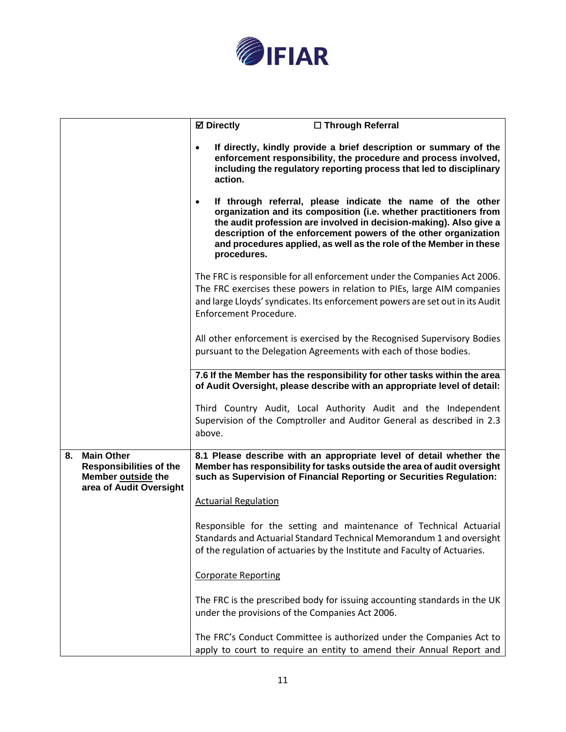

|    |                                                                                                      | <b>Ø</b> Directly<br>□ Through Referral                                                                                                                                                                                                                                                                                                                                    |
|----|------------------------------------------------------------------------------------------------------|----------------------------------------------------------------------------------------------------------------------------------------------------------------------------------------------------------------------------------------------------------------------------------------------------------------------------------------------------------------------------|
|    |                                                                                                      | If directly, kindly provide a brief description or summary of the<br>$\bullet$<br>enforcement responsibility, the procedure and process involved,<br>including the regulatory reporting process that led to disciplinary<br>action.                                                                                                                                        |
|    |                                                                                                      | If through referral, please indicate the name of the other<br>$\bullet$<br>organization and its composition (i.e. whether practitioners from<br>the audit profession are involved in decision-making). Also give a<br>description of the enforcement powers of the other organization<br>and procedures applied, as well as the role of the Member in these<br>procedures. |
|    |                                                                                                      | The FRC is responsible for all enforcement under the Companies Act 2006.<br>The FRC exercises these powers in relation to PIEs, large AIM companies<br>and large Lloyds' syndicates. Its enforcement powers are set out in its Audit<br>Enforcement Procedure.                                                                                                             |
|    |                                                                                                      | All other enforcement is exercised by the Recognised Supervisory Bodies<br>pursuant to the Delegation Agreements with each of those bodies.                                                                                                                                                                                                                                |
|    |                                                                                                      | 7.6 If the Member has the responsibility for other tasks within the area<br>of Audit Oversight, please describe with an appropriate level of detail:                                                                                                                                                                                                                       |
|    |                                                                                                      | Third Country Audit, Local Authority Audit and the Independent<br>Supervision of the Comptroller and Auditor General as described in 2.3<br>above.                                                                                                                                                                                                                         |
| 8. | <b>Main Other</b><br><b>Responsibilities of the</b><br>Member outside the<br>area of Audit Oversight | 8.1 Please describe with an appropriate level of detail whether the<br>Member has responsibility for tasks outside the area of audit oversight<br>such as Supervision of Financial Reporting or Securities Regulation:                                                                                                                                                     |
|    |                                                                                                      | <b>Actuarial Regulation</b>                                                                                                                                                                                                                                                                                                                                                |
|    |                                                                                                      | Responsible for the setting and maintenance of Technical Actuarial<br>Standards and Actuarial Standard Technical Memorandum 1 and oversight<br>of the regulation of actuaries by the Institute and Faculty of Actuaries.                                                                                                                                                   |
|    |                                                                                                      | <b>Corporate Reporting</b>                                                                                                                                                                                                                                                                                                                                                 |
|    |                                                                                                      | The FRC is the prescribed body for issuing accounting standards in the UK<br>under the provisions of the Companies Act 2006.                                                                                                                                                                                                                                               |
|    |                                                                                                      | The FRC's Conduct Committee is authorized under the Companies Act to<br>apply to court to require an entity to amend their Annual Report and                                                                                                                                                                                                                               |